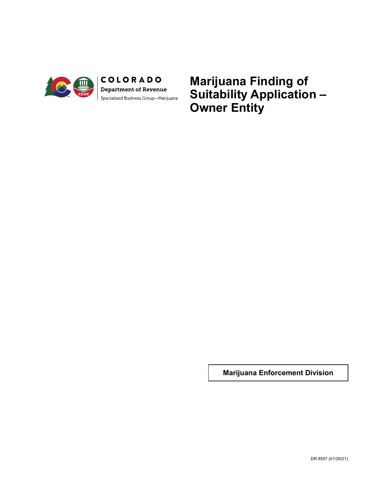

**Marijuana Finding of Suitability Application – Owner Entity**

**Marijuana Enforcement Division**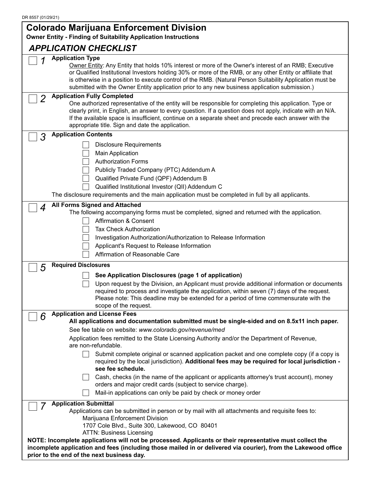### **Colorado Marijuana Enforcement Division**

**Owner Entity - Finding of Suitability Application Instructions**

### *APPLICATION CHECKLIST*

|                | APPLICATION CHECKLIST                                                                                                                                                                                                                                                                                                                                                                                                                                         |
|----------------|---------------------------------------------------------------------------------------------------------------------------------------------------------------------------------------------------------------------------------------------------------------------------------------------------------------------------------------------------------------------------------------------------------------------------------------------------------------|
|                | <b>Application Type</b><br>Owner Entity: Any Entity that holds 10% interest or more of the Owner's interest of an RMB; Executive<br>or Qualified Institutional Investors holding 30% or more of the RMB, or any other Entity or affiliate that<br>is otherwise in a position to execute control of the RMB. (Natural Person Suitability Application must be<br>submitted with the Owner Entity application prior to any new business application submission.) |
| $\overline{2}$ | <b>Application Fully Completed</b><br>One authorized representative of the entity will be responsible for completing this application. Type or<br>clearly print, in English, an answer to every question. If a question does not apply, indicate with an N/A.<br>If the available space is insufficient, continue on a separate sheet and precede each answer with the<br>appropriate title. Sign and date the application.                                   |
| 3              | <b>Application Contents</b>                                                                                                                                                                                                                                                                                                                                                                                                                                   |
|                | <b>Disclosure Requirements</b><br>Main Application<br><b>Authorization Forms</b><br>Publicly Traded Company (PTC) Addendum A<br>Qualified Private Fund (QPF) Addendum B<br>Qualified Institutional Investor (QII) Addendum C<br>The disclosure requirements and the main application must be completed in full by all applicants.                                                                                                                             |
| 4              | <b>All Forms Signed and Attached</b><br>The following accompanying forms must be completed, signed and returned with the application.<br><b>Affirmation &amp; Consent</b><br><b>Tax Check Authorization</b><br>Investigation Authorization/Authorization to Release Information<br>Applicant's Request to Release Information<br>Affirmation of Reasonable Care                                                                                               |
| 5              | <b>Required Disclosures</b>                                                                                                                                                                                                                                                                                                                                                                                                                                   |
|                | See Application Disclosures (page 1 of application)<br>Upon request by the Division, an Applicant must provide additional information or documents<br>required to process and investigate the application, within seven (7) days of the request.<br>Please note: This deadline may be extended for a period of time commensurate with the<br>scope of the request.                                                                                            |
| 6              | <b>Application and License Fees</b>                                                                                                                                                                                                                                                                                                                                                                                                                           |
|                | All applications and documentation submitted must be single-sided and on 8.5x11 inch paper.<br>See fee table on website: www.colorado.gov/revenue/med                                                                                                                                                                                                                                                                                                         |
|                | Application fees remitted to the State Licensing Authority and/or the Department of Revenue,<br>are non-refundable.                                                                                                                                                                                                                                                                                                                                           |
|                | Submit complete original or scanned application packet and one complete copy (if a copy is<br>required by the local jurisdiction). Additional fees may be required for local jurisdiction -<br>see fee schedule.                                                                                                                                                                                                                                              |
|                | Cash, checks (in the name of the applicant or applicants attorney's trust account), money<br>orders and major credit cards (subject to service charge).<br>Mail-in applications can only be paid by check or money order                                                                                                                                                                                                                                      |
|                | <b>Application Submittal</b>                                                                                                                                                                                                                                                                                                                                                                                                                                  |
|                | Applications can be submitted in person or by mail with all attachments and requisite fees to:<br>Marijuana Enforcement Division<br>1707 Cole Blvd., Suite 300, Lakewood, CO 80401<br><b>ATTN: Business Licensing</b>                                                                                                                                                                                                                                         |
|                | NOTE: Incomplete applications will not be processed. Applicants or their representative must collect the                                                                                                                                                                                                                                                                                                                                                      |
|                | incomplete application and fees (including those mailed in or delivered via courier), from the Lakewood office<br>prior to the end of the next business day.                                                                                                                                                                                                                                                                                                  |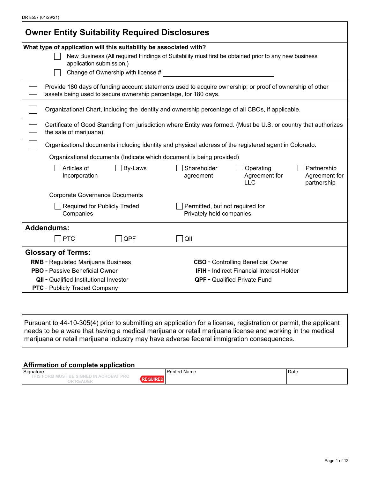| DR 8557 (01/29/21) |  |
|--------------------|--|
|--------------------|--|

| <b>Owner Entity Suitability Required Disclosures</b>                 |                                                                                                                     |  |  |  |  |  |
|----------------------------------------------------------------------|---------------------------------------------------------------------------------------------------------------------|--|--|--|--|--|
| What type of application will this suitability be associated with?   | New Business (All required Findings of Suitability must first be obtained prior to any new business                 |  |  |  |  |  |
| application submission.)                                             |                                                                                                                     |  |  |  |  |  |
| Change of Ownership with license #                                   |                                                                                                                     |  |  |  |  |  |
| assets being used to secure ownership percentage, for 180 days.      | Provide 180 days of funding account statements used to acquire ownership; or proof of ownership of other            |  |  |  |  |  |
|                                                                      | Organizational Chart, including the identity and ownership percentage of all CBOs, if applicable.                   |  |  |  |  |  |
| the sale of marijuana).                                              | Certificate of Good Standing from jurisdiction where Entity was formed. (Must be U.S. or country that authorizes    |  |  |  |  |  |
|                                                                      | Organizational documents including identity and physical address of the registered agent in Colorado.               |  |  |  |  |  |
| Organizational documents (Indicate which document is being provided) |                                                                                                                     |  |  |  |  |  |
| Articles of<br>By-Laws<br>Incorporation                              | Shareholder<br>Operating<br>Partnership<br>Agreement for<br>Agreement for<br>agreement<br><b>LLC</b><br>partnership |  |  |  |  |  |
| <b>Corporate Governance Documents</b>                                |                                                                                                                     |  |  |  |  |  |
| Required for Publicly Traded<br>Companies                            | Permitted, but not required for<br>Privately held companies                                                         |  |  |  |  |  |
| <b>Addendums:</b>                                                    |                                                                                                                     |  |  |  |  |  |
| <b>PTC</b><br>QPF                                                    | QII                                                                                                                 |  |  |  |  |  |
| <b>Glossary of Terms:</b>                                            |                                                                                                                     |  |  |  |  |  |
| <b>RMB</b> - Regulated Marijuana Business                            | <b>CBO</b> - Controlling Beneficial Owner                                                                           |  |  |  |  |  |
| <b>PBO</b> - Passive Beneficial Owner                                | <b>IFIH</b> - Indirect Financial Interest Holder                                                                    |  |  |  |  |  |
| <b>QII</b> - Qualified Institutional Investor                        | <b>QPF</b> - Qualified Private Fund                                                                                 |  |  |  |  |  |
| <b>PTC</b> - Publicly Traded Company                                 |                                                                                                                     |  |  |  |  |  |

Pursuant to 44-10-305(4) prior to submitting an application for a license, registration or permit, the applicant needs to be a ware that having a medical marijuana or retail marijuana license and working in the medical marijuana or retail marijuana industry may have adverse federal immigration consequences.

#### **Affirmation of complete application**

| Signature                                                                      | <b>Printod</b><br>l Name<br>. | Date |
|--------------------------------------------------------------------------------|-------------------------------|------|
| ∆ ≻וו<br>DE 91<br>ию п<br>AIVE 7<br>$\sim$<br>.<br>$\sim$<br>$\sim$<br>: A L I |                               |      |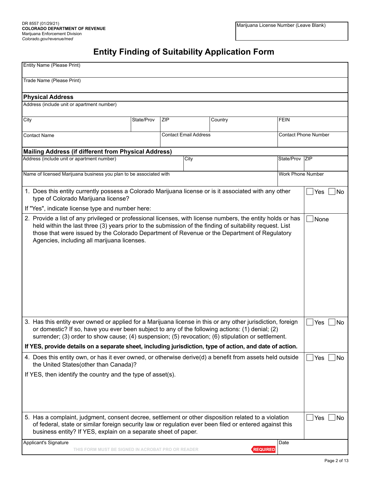# **Entity Finding of Suitability Application Form**

| Entity Name (Please Print)                                                                                                                                                                                                                                                                                                                                                     |            |     |                              |         |                 |                   |                             |
|--------------------------------------------------------------------------------------------------------------------------------------------------------------------------------------------------------------------------------------------------------------------------------------------------------------------------------------------------------------------------------|------------|-----|------------------------------|---------|-----------------|-------------------|-----------------------------|
| Trade Name (Please Print)                                                                                                                                                                                                                                                                                                                                                      |            |     |                              |         |                 |                   |                             |
| <b>Physical Address</b>                                                                                                                                                                                                                                                                                                                                                        |            |     |                              |         |                 |                   |                             |
| Address (include unit or apartment number)                                                                                                                                                                                                                                                                                                                                     |            |     |                              |         |                 |                   |                             |
|                                                                                                                                                                                                                                                                                                                                                                                |            |     |                              |         |                 |                   |                             |
| City                                                                                                                                                                                                                                                                                                                                                                           | State/Prov | ZIP |                              | Country |                 | <b>FEIN</b>       |                             |
| <b>Contact Name</b>                                                                                                                                                                                                                                                                                                                                                            |            |     | <b>Contact Email Address</b> |         |                 |                   | <b>Contact Phone Number</b> |
| <b>Mailing Address (if different from Physical Address)</b>                                                                                                                                                                                                                                                                                                                    |            |     |                              |         |                 |                   |                             |
| Address (include unit or apartment number)                                                                                                                                                                                                                                                                                                                                     |            |     | City                         |         |                 | State/Prov ZIP    |                             |
| Name of licensed Marijuana business you plan to be associated with                                                                                                                                                                                                                                                                                                             |            |     |                              |         |                 | Work Phone Number |                             |
| 1. Does this entity currently possess a Colorado Marijuana license or is it associated with any other<br>type of Colorado Marijuana license?                                                                                                                                                                                                                                   |            |     |                              |         |                 |                   | Yes<br> No                  |
| If "Yes", indicate license type and number here:                                                                                                                                                                                                                                                                                                                               |            |     |                              |         |                 |                   |                             |
| 2. Provide a list of any privileged or professional licenses, with license numbers, the entity holds or has<br>None<br>held within the last three (3) years prior to the submission of the finding of suitability request. List<br>those that were issued by the Colorado Department of Revenue or the Department of Regulatory<br>Agencies, including all marijuana licenses. |            |     |                              |         |                 |                   |                             |
| 3. Has this entity ever owned or applied for a Marijuana license in this or any other jurisdiction, foreign<br>or domestic? If so, have you ever been subject to any of the following actions: (1) denial; (2)<br>surrender; (3) order to show cause; (4) suspension; (5) revocation; (6) stipulation or settlement.                                                           |            |     |                              |         |                 |                   | Yes<br>No                   |
| If YES, provide details on a separate sheet, including jurisdiction, type of action, and date of action.                                                                                                                                                                                                                                                                       |            |     |                              |         |                 |                   |                             |
| 4. Does this entity own, or has it ever owned, or otherwise derive(d) a benefit from assets held outside<br>the United States(other than Canada)?                                                                                                                                                                                                                              |            |     |                              |         |                 |                   | Yes<br>No                   |
| If YES, then identify the country and the type of asset(s).                                                                                                                                                                                                                                                                                                                    |            |     |                              |         |                 |                   |                             |
| 5. Has a complaint, judgment, consent decree, settlement or other disposition related to a violation                                                                                                                                                                                                                                                                           |            |     |                              |         |                 |                   | Yes<br>No                   |
| of federal, state or similar foreign security law or regulation ever been filed or entered against this<br>business entity? If YES, explain on a separate sheet of paper.                                                                                                                                                                                                      |            |     |                              |         |                 |                   |                             |
| Applicant's Signature<br>THIS FORM MUST BE SIGNED IN ACROBAT PRO OR READER                                                                                                                                                                                                                                                                                                     |            |     |                              |         | <b>REQUIRED</b> | Date              |                             |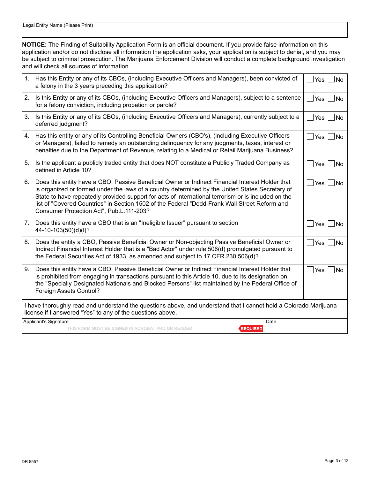**NOTICE:** The Finding of Suitability Application Form is an official document. If you provide false information on this application and/or do not disclose all information the application asks, your application is subject to denial, and you may be subject to criminal prosecution. The Marijuana Enforcement Division will conduct a complete background investigation and will check all sources of information.

| 1. | Has this Entity or any of its CBOs, (including Executive Officers and Managers), been convicted of<br>a felony in the 3 years preceding this application?                                                                                                                                                                                                                                                                                               | Yes<br>No               |  |  |  |
|----|---------------------------------------------------------------------------------------------------------------------------------------------------------------------------------------------------------------------------------------------------------------------------------------------------------------------------------------------------------------------------------------------------------------------------------------------------------|-------------------------|--|--|--|
| 2. | Is this Entity or any of its CBOs, (including Executive Officers and Managers), subject to a sentence<br>for a felony conviction, including probation or parole?                                                                                                                                                                                                                                                                                        | Yes<br><b>No</b>        |  |  |  |
| 3. | Is this Entity or any of its CBOs, (including Executive Officers and Managers), currently subject to a<br>deferred judgment?                                                                                                                                                                                                                                                                                                                            | Yes<br><b>No</b>        |  |  |  |
| 4. | Has this entity or any of its Controlling Beneficial Owners (CBO's), (including Executive Officers<br>or Managers), failed to remedy an outstanding delinguency for any judgments, taxes, interest or<br>penalties due to the Department of Revenue, relating to a Medical or Retail Marijuana Business?                                                                                                                                                | Yes<br><b>No</b>        |  |  |  |
| 5. | Is the applicant a publicly traded entity that does NOT constitute a Publicly Traded Company as<br>defined in Article 10?                                                                                                                                                                                                                                                                                                                               | <b>Yes</b><br><b>No</b> |  |  |  |
| 6. | Does this entity have a CBO, Passive Beneficial Owner or Indirect Financial Interest Holder that<br>is organized or formed under the laws of a country determined by the United States Secretary of<br>State to have repeatedly provided support for acts of international terrorism or is included on the<br>list of "Covered Countries" in Section 1502 of the Federal "Dodd-Frank Wall Street Reform and<br>Consumer Protection Act", Pub.L.111-203? | Yes<br><b>No</b>        |  |  |  |
| 7. | Does this entity have a CBO that is an "Ineligible Issuer" pursuant to section<br>44-10-103(50)(d)(l)?                                                                                                                                                                                                                                                                                                                                                  | Yes<br>No               |  |  |  |
| 8. | Does the entity a CBO, Passive Beneficial Owner or Non-objecting Passive Beneficial Owner or<br>Indirect Financial Interest Holder that is a "Bad Actor" under rule 506(d) promulgated pursuant to<br>the Federal Securities Act of 1933, as amended and subject to 17 CFR 230.506(d)?                                                                                                                                                                  | Yes<br><b>No</b>        |  |  |  |
| 9. | Does this entity have a CBO, Passive Beneficial Owner or Indirect Financial Interest Holder that<br>is prohibited from engaging in transactions pursuant to this Article 10, due to its designation on<br>the "Specially Designated Nationals and Blocked Persons" list maintained by the Federal Office of<br>Foreign Assets Control?                                                                                                                  | Yes<br><b>No</b>        |  |  |  |
|    | I have thoroughly read and understand the questions above, and understand that I cannot hold a Colorado Marijuana<br>license if I answered "Yes" to any of the questions above.                                                                                                                                                                                                                                                                         |                         |  |  |  |
|    | Applicant's Signature<br>Date<br>THIS FORM MUST BE SIGNED IN ACROBAT PRO OR READER<br><b>REQUIRED</b>                                                                                                                                                                                                                                                                                                                                                   |                         |  |  |  |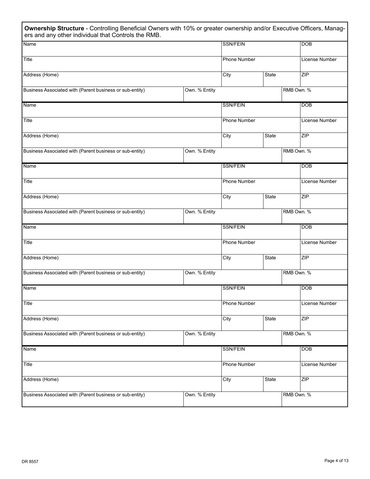| Ownership Structure - Controlling Beneficial Owners with 10% or greater ownership and/or Executive Officers, Manag-<br>ers and any other individual that Controls the RMB. |               |                     |       |            |                |
|----------------------------------------------------------------------------------------------------------------------------------------------------------------------------|---------------|---------------------|-------|------------|----------------|
| Name                                                                                                                                                                       |               | SSN/FEIN            |       |            | <b>DOB</b>     |
| Title                                                                                                                                                                      |               | Phone Number        |       |            | License Number |
| Address (Home)                                                                                                                                                             |               | City                | State |            | ZIP            |
| Business Associated with (Parent business or sub-entity)                                                                                                                   | Own. % Entity |                     |       | RMB Own. % |                |
| Name                                                                                                                                                                       |               | <b>SSN/FEIN</b>     |       |            | <b>DOB</b>     |
| Title                                                                                                                                                                      |               | Phone Number        |       |            | License Number |
| Address (Home)                                                                                                                                                             |               | City                | State |            | ZIP            |
| Business Associated with (Parent business or sub-entity)                                                                                                                   | Own. % Entity |                     |       | RMB Own. % |                |
| Name                                                                                                                                                                       |               | <b>SSN/FEIN</b>     |       |            | <b>DOB</b>     |
| Title                                                                                                                                                                      |               | <b>Phone Number</b> |       |            | License Number |
| Address (Home)                                                                                                                                                             |               | City                | State |            | ZIP            |
| Business Associated with (Parent business or sub-entity)                                                                                                                   | Own. % Entity |                     |       | RMB Own. % |                |
| Name                                                                                                                                                                       |               | <b>SSN/FEIN</b>     |       |            | <b>DOB</b>     |
| Title                                                                                                                                                                      |               | Phone Number        |       |            | License Number |
| Address (Home)                                                                                                                                                             |               | City                | State |            | ZIP            |
| Business Associated with (Parent business or sub-entity)                                                                                                                   | Own. % Entity |                     |       | RMB Own. % |                |
| Name                                                                                                                                                                       |               | <b>SSN/FEIN</b>     |       |            | DOB            |
| Title                                                                                                                                                                      |               | <b>Phone Number</b> |       |            | License Number |
| Address (Home)                                                                                                                                                             |               | City                | State |            | ZIP            |
| Business Associated with (Parent business or sub-entity)                                                                                                                   | Own. % Entity |                     |       | RMB Own. % |                |
| Name                                                                                                                                                                       |               | <b>SSN/FEIN</b>     |       |            | <b>DOB</b>     |
| Title                                                                                                                                                                      |               | Phone Number        |       |            | License Number |
| Address (Home)                                                                                                                                                             |               | City                | State |            | ZIP            |
| Business Associated with (Parent business or sub-entity)                                                                                                                   | Own. % Entity |                     |       | RMB Own. % |                |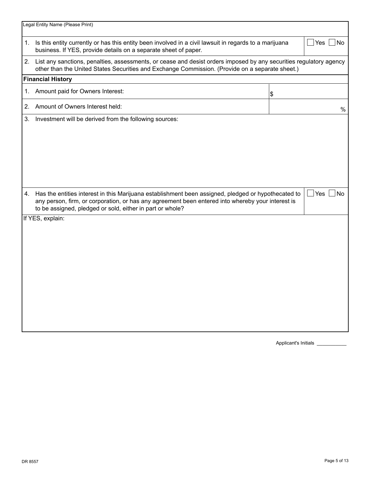|    | Legal Entity Name (Please Print)                                                                                                                                                                                         |    |                    |  |  |
|----|--------------------------------------------------------------------------------------------------------------------------------------------------------------------------------------------------------------------------|----|--------------------|--|--|
|    | 1. Is this entity currently or has this entity been involved in a civil lawsuit in regards to a marijuana<br>Yes<br>l No<br>business. If YES, provide details on a separate sheet of paper.                              |    |                    |  |  |
|    | 2. List any sanctions, penalties, assessments, or cease and desist orders imposed by any securities regulatory agency<br>other than the United States Securities and Exchange Commission. (Provide on a separate sheet.) |    |                    |  |  |
|    | <b>Financial History</b>                                                                                                                                                                                                 |    |                    |  |  |
| 1. | Amount paid for Owners Interest:                                                                                                                                                                                         | \$ |                    |  |  |
| 2. | Amount of Owners Interest held:                                                                                                                                                                                          |    | $\%$               |  |  |
|    |                                                                                                                                                                                                                          |    |                    |  |  |
| 4. | Has the entities interest in this Marijuana establishment been assigned, pledged or hypothecated to<br>to be assigned, pledged or sold, either in part or whole?                                                         |    | $\Box$ Yes<br>l No |  |  |
|    | any person, firm, or corporation, or has any agreement been entered into whereby your interest is<br>If YES, explain:                                                                                                    |    |                    |  |  |

Applicant's Initials \_\_\_\_\_\_\_\_\_\_\_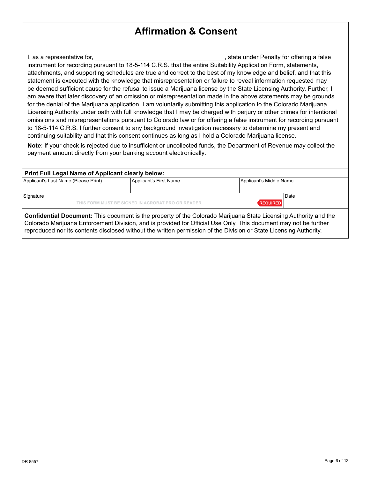## **Affirmation & Consent**

I, as a representative for, the same state of the set of the state under Penalty for offering a false instrument for recording pursuant to 18-5-114 C.R.S. that the entire Suitability Application Form, statements, attachments, and supporting schedules are true and correct to the best of my knowledge and belief, and that this statement is executed with the knowledge that misrepresentation or failure to reveal information requested may be deemed sufficient cause for the refusal to issue a Marijuana license by the State Licensing Authority. Further, I am aware that later discovery of an omission or misrepresentation made in the above statements may be grounds for the denial of the Marijuana application. I am voluntarily submitting this application to the Colorado Marijuana Licensing Authority under oath with full knowledge that I may be charged with perjury or other crimes for intentional omissions and misrepresentations pursuant to Colorado law or for offering a false instrument for recording pursuant to 18-5-114 C.R.S. I further consent to any background investigation necessary to determine my present and continuing suitability and that this consent continues as long as I hold a Colorado Marijuana license.

**Note**: If your check is rejected due to insufficient or uncollected funds, the Department of Revenue may collect the payment amount directly from your banking account electronically.

#### **Print Full Legal Name of Applicant clearly below:**

| Applicant's Last Name (Please Print) | Applicant's First Name                            | Applicant's Middle Name |
|--------------------------------------|---------------------------------------------------|-------------------------|
| Signature                            | THIS FORM MUST BE SIGNED IN ACROBAT PRO OR READER | Date<br><b>REQUIRED</b> |
| __ _ _ _ _<br>.                      | .                                                 | $\sim$ $\sim$           |

**Confidential Document:** This document is the property of the Colorado Marijuana State Licensing Authority and the Colorado Marijuana Enforcement Division, and is provided for Official Use Only. This document may not be further reproduced nor its contents disclosed without the written permission of the Division or State Licensing Authority.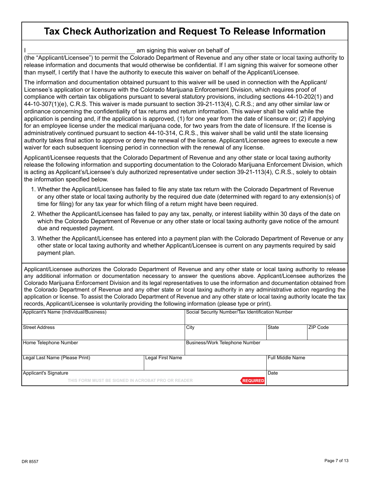## **Tax Check Authorization and Request To Release Information**

am signing this waiver on behalf of

(the "Applicant/Licensee") to permit the Colorado Department of Revenue and any other state or local taxing authority to release information and documents that would otherwise be confidential. If I am signing this waiver for someone other than myself, I certify that I have the authority to execute this waiver on behalf of the Applicant/Licensee.

The information and documentation obtained pursuant to this waiver will be used in connection with the Applicant/ Licensee's application or licensure with the Colorado Marijuana Enforcement Division, which requires proof of compliance with certain tax obligations pursuant to several statutory provisions, including sections 44-10-202(1) and 44-10-307(1)(e), C.R.S. This waiver is made pursuant to section 39-21-113(4), C.R.S.; and any other similar law or ordinance concerning the confidentiality of tax returns and return information. This waiver shall be valid while the application is pending and, if the application is approved, (1) for one year from the date of licensure or; (2) if applying for an employee license under the medical marijuana code, for two years from the date of licensure. If the license is administratively continued pursuant to section 44-10-314, C.R.S., this waiver shall be valid until the state licensing authority takes final action to approve or deny the renewal of the license. Applicant/Licensee agrees to execute a new waiver for each subsequent licensing period in connection with the renewal of any license.

Applicant/Licensee requests that the Colorado Department of Revenue and any other state or local taxing authority release the following information and supporting documentation to the Colorado Marijuana Enforcement Division, which is acting as Applicant's/Licensee's duly authorized representative under section 39-21-113(4), C.R.S., solely to obtain the information specified below.

- 1. Whether the Applicant/Licensee has failed to file any state tax return with the Colorado Department of Revenue or any other state or local taxing authority by the required due date (determined with regard to any extension(s) of time for filing) for any tax year for which filing of a return might have been required.
- 2. Whether the Applicant/Licensee has failed to pay any tax, penalty, or interest liability within 30 days of the date on which the Colorado Department of Revenue or any other state or local taxing authority gave notice of the amount due and requested payment.
- 3. Whether the Applicant/Licensee has entered into a payment plan with the Colorado Department of Revenue or any other state or local taxing authority and whether Applicant/Licensee is current on any payments required by said payment plan.

Applicant/Licensee authorizes the Colorado Department of Revenue and any other state or local taxing authority to release any additional information or documentation necessary to answer the questions above. Applicant/Licensee authorizes the Colorado Marijuana Enforcement Division and its legal representatives to use the information and documentation obtained from the Colorado Department of Revenue and any other state or local taxing authority in any administrative action regarding the application or license. To assist the Colorado Department of Revenue and any other state or local taxing authority locate the tax records, Applicant/Licensee is voluntarily providing the following information (please type or print).

| Applicant's Name (Individual/Business)            | Social Security Number/Tax Identification Number |                                |                  |                 |
|---------------------------------------------------|--------------------------------------------------|--------------------------------|------------------|-----------------|
| Street Address                                    |                                                  | City                           | State            | <b>ZIP Code</b> |
| Home Telephone Number                             |                                                  | Business/Work Telephone Number |                  |                 |
| Legal Last Name (Please Print)                    | Legal First Name                                 |                                | Full Middle Name |                 |
| Applicant's Signature                             |                                                  |                                | Date             |                 |
| THIS FORM MUST BE SIGNED IN ACROBAT PRO OR READER |                                                  | <b>REQUIRED</b>                |                  |                 |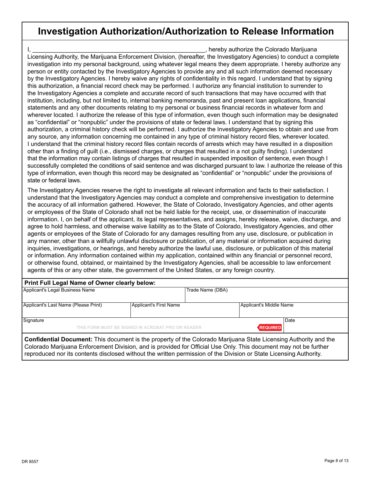## **Investigation Authorization/Authorization to Release Information**

I, \_\_\_\_\_\_\_\_\_\_\_\_\_\_\_\_\_\_\_\_\_\_\_\_\_\_\_\_\_\_\_\_\_\_\_\_\_\_\_\_\_\_\_\_\_\_\_\_\_\_\_\_, hereby authorize the Colorado Marijuana Licensing Authority, the Marijuana Enforcement Division, (hereafter, the Investigatory Agencies) to conduct a complete investigation into my personal background, using whatever legal means they deem appropriate. I hereby authorize any person or entity contacted by the Investigatory Agencies to provide any and all such information deemed necessary by the Investigatory Agencies. I hereby waive any rights of confidentiality in this regard. I understand that by signing this authorization, a financial record check may be performed. I authorize any financial institution to surrender to the Investigatory Agencies a complete and accurate record of such transactions that may have occurred with that institution, including, but not limited to, internal banking memoranda, past and present loan applications, financial statements and any other documents relating to my personal or business financial records in whatever form and wherever located. I authorize the release of this type of information, even though such information may be designated as "confidential" or "nonpublic" under the provisions of state or federal laws. I understand that by signing this authorization, a criminal history check will be performed. I authorize the Investigatory Agencies to obtain and use from any source, any information concerning me contained in any type of criminal history record files, wherever located. I understand that the criminal history record files contain records of arrests which may have resulted in a disposition other than a finding of guilt (i.e., dismissed charges, or charges that resulted in a not guilty finding). I understand that the information may contain listings of charges that resulted in suspended imposition of sentence, even though I successfully completed the conditions of said sentence and was discharged pursuant to law. I authorize the release of this type of information, even though this record may be designated as "confidential" or "nonpublic" under the provisions of state or federal laws.

The Investigatory Agencies reserve the right to investigate all relevant information and facts to their satisfaction. I understand that the Investigatory Agencies may conduct a complete and comprehensive investigation to determine the accuracy of all information gathered. However, the State of Colorado, Investigatory Agencies, and other agents or employees of the State of Colorado shall not be held liable for the receipt, use, or dissemination of inaccurate information. I, on behalf of the applicant, its legal representatives, and assigns, hereby release, waive, discharge, and agree to hold harmless, and otherwise waive liability as to the State of Colorado, Investigatory Agencies, and other agents or employees of the State of Colorado for any damages resulting from any use, disclosure, or publication in any manner, other than a willfully unlawful disclosure or publication, of any material or information acquired during inquiries, investigations, or hearings, and hereby authorize the lawful use, disclosure, or publication of this material or information. Any information contained within my application, contained within any financial or personnel record, or otherwise found, obtained, or maintained by the Investigatory Agencies, shall be accessible to law enforcement agents of this or any other state, the government of the United States, or any foreign country.

| Print Full Legal Name of Owner clearly below:<br>Applicant's Legal Business Name<br>Trade Name (DBA)             |                                                    |  |                         |  |  |
|------------------------------------------------------------------------------------------------------------------|----------------------------------------------------|--|-------------------------|--|--|
|                                                                                                                  |                                                    |  |                         |  |  |
| Applicant's Last Name (Please Print)                                                                             | Applicant's First Name                             |  | Applicant's Middle Name |  |  |
| Signature                                                                                                        | THIS FORM MUST BE SIGNED IN ACROBAT PRO OR READER. |  | Date<br><b>REQUIRED</b> |  |  |
| Confidential Document: This document is the property of the Colorado Marijuana State Licensing Authority and the |                                                    |  |                         |  |  |

Colorado Marijuana Enforcement Division, and is provided for Official Use Only. This document may not be further reproduced nor its contents disclosed without the written permission of the Division or State Licensing Authority.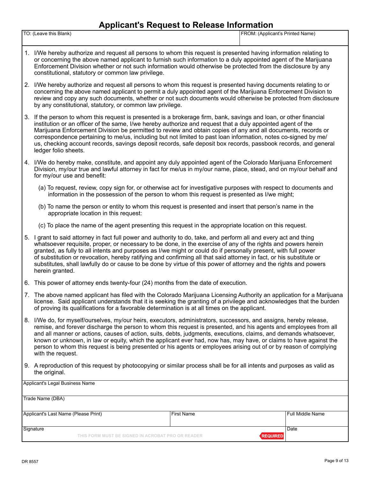### **Applicant's Request to Release Information**

| TO:<br>Leave this Blank) | FROM:<br>: (Applicant's Printed Name) |
|--------------------------|---------------------------------------|
|                          |                                       |
|                          |                                       |
|                          |                                       |

- 1. I/We hereby authorize and request all persons to whom this request is presented having information relating to or concerning the above named applicant to furnish such information to a duly appointed agent of the Marijuana Enforcement Division whether or not such information would otherwise be protected from the disclosure by any constitutional, statutory or common law privilege.
- 2. I/We hereby authorize and request all persons to whom this request is presented having documents relating to or concerning the above named applicant to permit a duly appointed agent of the Marijuana Enforcement Division to review and copy any such documents, whether or not such documents would otherwise be protected from disclosure by any constitutional, statutory, or common law privilege.
- 3. If the person to whom this request is presented is a brokerage firm, bank, savings and loan, or other financial institution or an officer of the same, I/we hereby authorize and request that a duly appointed agent of the Marijuana Enforcement Division be permitted to review and obtain copies of any and all documents, records or correspondence pertaining to me/us, including but not limited to past loan information, notes co-signed by me/ us, checking account records, savings deposit records, safe deposit box records, passbook records, and general ledger folio sheets.
- 4. I/We do hereby make, constitute, and appoint any duly appointed agent of the Colorado Marijuana Enforcement Division, my/our true and lawful attorney in fact for me/us in my/our name, place, stead, and on my/our behalf and for my/our use and benefit:
	- (a) To request, review, copy sign for, or otherwise act for investigative purposes with respect to documents and information in the possession of the person to whom this request is presented as I/we might;
	- (b) To name the person or entity to whom this request is presented and insert that person's name in the appropriate location in this request:
	- (c) To place the name of the agent presenting this request in the appropriate location on this request.
- 5. I grant to said attorney in fact full power and authority to do, take, and perform all and every act and thing whatsoever requisite, proper, or necessary to be done, in the exercise of any of the rights and powers herein granted, as fully to all intents and purposes as I/we might or could do if personally present, with full power of substitution or revocation, hereby ratifying and confirming all that said attorney in fact, or his substitute or substitutes, shall lawfully do or cause to be done by virtue of this power of attorney and the rights and powers herein granted.
- 6. This power of attorney ends twenty-four (24) months from the date of execution.
- 7. The above named applicant has filed with the Colorado Marijuana Licensing Authority an application for a Marijuana license. Said applicant understands that it is seeking the granting of a privilege and acknowledges that the burden of proving its qualifications for a favorable determination is at all times on the applicant.
- 8. I/We do, for myself/ourselves, my/our heirs, executors, administrators, successors, and assigns, hereby release, remise, and forever discharge the person to whom this request is presented, and his agents and employees from all and all manner or actions, causes of action, suits, debts, judgments, executions, claims, and demands whatsoever, known or unknown, in law or equity, which the applicant ever had, now has, may have, or claims to have against the person to whom this request is being presented or his agents or employees arising out of or by reason of complying with the request.
- 9. A reproduction of this request by photocopying or similar process shall be for all intents and purposes as valid as the original.

| Applicant's Legal Business Name      |                                                   |              |                         |
|--------------------------------------|---------------------------------------------------|--------------|-------------------------|
| Trade Name (DBA)                     |                                                   |              |                         |
| Applicant's Last Name (Please Print) |                                                   | l First Name | Full Middle Name        |
| Signature                            | THIS FORM MUST BE SIGNED IN ACROBAT PRO OR READER |              | Date<br><b>REQUIRED</b> |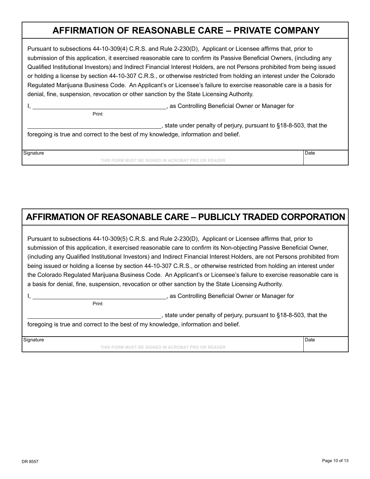## **AFFIRMATION OF REASONABLE CARE – PRIVATE COMPANY**

Pursuant to subsections 44-10-309(4) C.R.S. and Rule 2-230(D), Applicant or Licensee affirms that, prior to submission of this application, it exercised reasonable care to confirm its Passive Beneficial Owners, (including any Qualified Institutional Investors) and Indirect Financial Interest Holders, are not Persons prohibited from being issued or holding a license by section 44-10-307 C.R.S., or otherwise restricted from holding an interest under the Colorado Regulated Marijuana Business Code. An Applicant's or Licensee's failure to exercise reasonable care is a basis for denial, fine, suspension, revocation or other sanction by the State Licensing Authority.

I, 1. As Controlling Beneficial Owner or Manager for

**Print** Print

, state under penalty of perjury, pursuant to §18-8-503, that the

foregoing is true and correct to the best of my knowledge, information and belief.

Signature **Date** 

**THIS FORM MUST BE SIGNED IN ACROBAT PRO OR READER**

# **AFFIRMATION OF REASONABLE CARE – PUBLICLY TRADED CORPORATION**

Pursuant to subsections 44-10-309(5) C.R.S. and Rule 2-230(D), Applicant or Licensee affirms that, prior to submission of this application, it exercised reasonable care to confirm its Non-objecting Passive Beneficial Owner, (including any Qualified Institutional Investors) and Indirect Financial Interest Holders, are not Persons prohibited from being issued or holding a license by section 44-10-307 C.R.S., or otherwise restricted from holding an interest under the Colorado Regulated Marijuana Business Code. An Applicant's or Licensee's failure to exercise reasonable care is a basis for denial, fine, suspension, revocation or other sanction by the State Licensing Authority.

I, **All includes the Controlling Beneficial Owner or Manager for**  $\alpha$ , as Controlling Beneficial Owner or Manager for

Print

state under penalty of perjury, pursuant to §18-8-503, that the foregoing is true and correct to the best of my knowledge, information and belief.

Signature **Date** 

**THIS FORM MUST BE SIGNED IN ACROBAT PRO OR READER**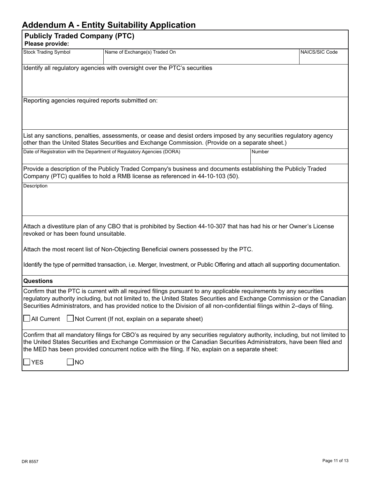### **Addendum A - Entity Suitability Application**

|                                       |                                      | Addendant A - Linny Odnability Application                                                                                                                                                                                                                                                                                                                                     |        |                |
|---------------------------------------|--------------------------------------|--------------------------------------------------------------------------------------------------------------------------------------------------------------------------------------------------------------------------------------------------------------------------------------------------------------------------------------------------------------------------------|--------|----------------|
| Please provide:                       | <b>Publicly Traded Company (PTC)</b> |                                                                                                                                                                                                                                                                                                                                                                                |        |                |
| <b>Stock Trading Symbol</b>           |                                      | Name of Exchange(s) Traded On                                                                                                                                                                                                                                                                                                                                                  |        | NAICS/SIC Code |
|                                       |                                      | Identify all regulatory agencies with oversight over the PTC's securities                                                                                                                                                                                                                                                                                                      |        |                |
|                                       |                                      | Reporting agencies required reports submitted on:                                                                                                                                                                                                                                                                                                                              |        |                |
|                                       |                                      | List any sanctions, penalties, assessments, or cease and desist orders imposed by any securities regulatory agency<br>other than the United States Securities and Exchange Commission. (Provide on a separate sheet.)                                                                                                                                                          |        |                |
|                                       |                                      | Date of Registration with the Department of Regulatory Agencies (DORA)                                                                                                                                                                                                                                                                                                         | Number |                |
|                                       |                                      | Provide a description of the Publicly Traded Company's business and documents establishing the Publicly Traded<br>Company (PTC) qualifies to hold a RMB license as referenced in 44-10-103 (50).                                                                                                                                                                               |        |                |
| Description                           |                                      |                                                                                                                                                                                                                                                                                                                                                                                |        |                |
| revoked or has been found unsuitable. |                                      | Attach a divestiture plan of any CBO that is prohibited by Section 44-10-307 that has had his or her Owner's License                                                                                                                                                                                                                                                           |        |                |
|                                       |                                      | Attach the most recent list of Non-Objecting Beneficial owners possessed by the PTC.                                                                                                                                                                                                                                                                                           |        |                |
|                                       |                                      | Identify the type of permitted transaction, i.e. Merger, Investment, or Public Offering and attach all supporting documentation.                                                                                                                                                                                                                                               |        |                |
| <b>Questions</b>                      |                                      |                                                                                                                                                                                                                                                                                                                                                                                |        |                |
|                                       |                                      | Confirm that the PTC is current with all required filings pursuant to any applicable requirements by any securities<br>regulatory authority including, but not limited to, the United States Securities and Exchange Commission or the Canadian<br>Securities Administrators, and has provided notice to the Division of all non-confidential filings within 2-days of filing. |        |                |
|                                       |                                      | $\Box$ All Current $\Box$ Not Current (If not, explain on a separate sheet)                                                                                                                                                                                                                                                                                                    |        |                |
|                                       |                                      | Confirm that all mandatory filings for CBO's as required by any securities regulatory authority, including, but not limited to<br>the United States Securities and Exchange Commission or the Canadian Securities Administrators, have been filed and<br>the MED has been provided concurrent notice with the filing. If No, explain on a separate sheet:                      |        |                |
| $\mathsf{\rfloor\mathsf{YES}}$        | <b>NO</b><br>$\blacksquare$          |                                                                                                                                                                                                                                                                                                                                                                                |        |                |
|                                       |                                      |                                                                                                                                                                                                                                                                                                                                                                                |        |                |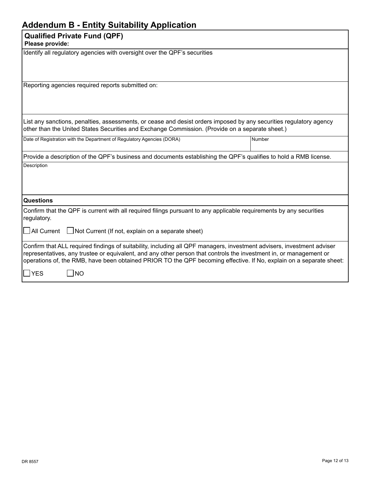### **Addendum B - Entity Suitability Application**

#### **Qualified Private Fund (QPF)**

**Please provide:**

|  | Identify all regulatory agencies with oversight over the QPF's securities |
|--|---------------------------------------------------------------------------|
|  |                                                                           |

Reporting agencies required reports submitted on:

List any sanctions, penalties, assessments, or cease and desist orders imposed by any securities regulatory agency other than the United States Securities and Exchange Commission. (Provide on a separate sheet.)

| Date of Registration with the Department of Regulatory Agencies (DORA)<br><b>Number</b> |
|-----------------------------------------------------------------------------------------|
|-----------------------------------------------------------------------------------------|

| Provide a description of the QPF's business and documents establishing the QPF's qualifies to hold a RMB license. |
|-------------------------------------------------------------------------------------------------------------------|
| Description                                                                                                       |

| مطه عمطه مصصائحه |  |
|------------------|--|

**Questions**

Confirm that the QPF is current with all required filings pursuant to any applicable requirements by any securities regulatory.

| $\Box$ All Current<br>Not Current (If not, explain on a separate sheet) |
|-------------------------------------------------------------------------|
|-------------------------------------------------------------------------|

| Confirm that ALL required findings of suitability, including all QPF managers, investment advisers, investment adviser |
|------------------------------------------------------------------------------------------------------------------------|
| representatives, any trustee or equivalent, and any other person that controls the investment in, or management or     |
| operations of, the RMB, have been obtained PRIOR TO the QPF becoming effective. If No, explain on a separate sheet:    |
|                                                                                                                        |

 $\exists$ YES  $\Box$ NO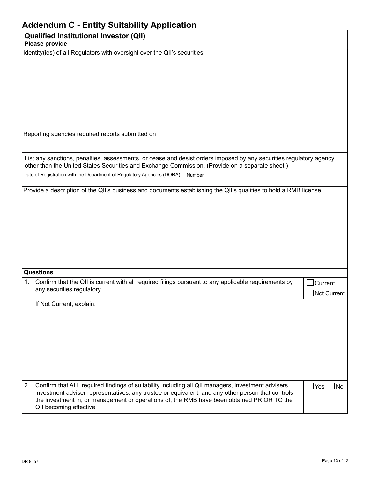|    | <b>Addendum C - Entity Suitability Application</b>                                                                                                                                                                                                                                                                              |                        |
|----|---------------------------------------------------------------------------------------------------------------------------------------------------------------------------------------------------------------------------------------------------------------------------------------------------------------------------------|------------------------|
|    | <b>Qualified Institutional Investor (QII)</b><br>Please provide                                                                                                                                                                                                                                                                 |                        |
|    | Identity(ies) of all Regulators with oversight over the QII's securities                                                                                                                                                                                                                                                        |                        |
|    | Reporting agencies required reports submitted on                                                                                                                                                                                                                                                                                |                        |
|    | List any sanctions, penalties, assessments, or cease and desist orders imposed by any securities regulatory agency<br>other than the United States Securities and Exchange Commission. (Provide on a separate sheet.)                                                                                                           |                        |
|    | Date of Registration with the Department of Regulatory Agencies (DORA)<br>Number                                                                                                                                                                                                                                                |                        |
|    |                                                                                                                                                                                                                                                                                                                                 |                        |
|    | Questions                                                                                                                                                                                                                                                                                                                       |                        |
| 1. | Confirm that the QII is current with all required filings pursuant to any applicable requirements by<br>any securities regulatory.                                                                                                                                                                                              | Current<br>Not Current |
|    | If Not Current, explain.                                                                                                                                                                                                                                                                                                        |                        |
| 2. | Confirm that ALL required findings of suitability including all QII managers, investment advisers,<br>investment adviser representatives, any trustee or equivalent, and any other person that controls<br>the investment in, or management or operations of, the RMB have been obtained PRIOR TO the<br>QII becoming effective | $\vert$ Yes $\vert$ No |